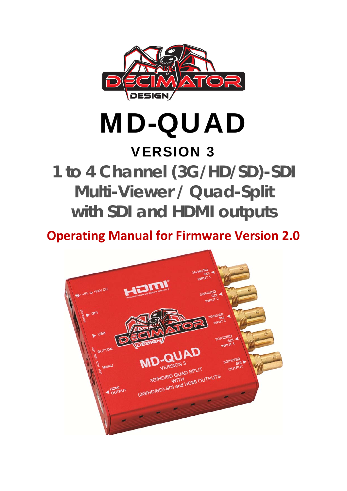

MD-QUAD

# VERSION 3

**1 to 4 Channel (3G/HD/SD)-SDI Multi-Viewer / Quad-Split with SDI and HDMI outputs** 

**Operating Manual for Firmware Version 2.0**

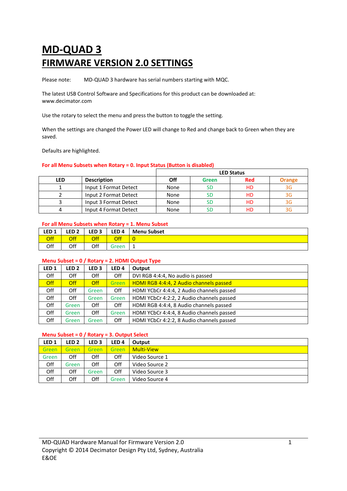# **MD‐QUAD 3 FIRMWARE VERSION 2.0 SETTINGS**

Please note: MD-QUAD 3 hardware has serial numbers starting with MQC.

The latest USB Control Software and Specifications for this product can be downloaded at: www.decimator.com

Use the rotary to select the menu and press the button to toggle the setting.

When the settings are changed the Power LED will change to Red and change back to Green when they are saved.

Defaults are highlighted.

# **For all Menu Subsets when Rotary = 0. Input Status (Button is disabled)**

|            |                       |      |       | <b>LED Status</b> |        |
|------------|-----------------------|------|-------|-------------------|--------|
| <b>LED</b> | <b>Description</b>    | Off  | Green | <b>Red</b>        | Orange |
|            | Input 1 Format Detect | None |       | HD                | 3G     |
|            | Input 2 Format Detect | None |       | HD                |        |
|            | Input 3 Format Detect | None |       | НD                |        |
|            | Input 4 Format Detect | None |       | НD                |        |

#### **For all Menu Subsets when Rotary = 1. Menu Subset**

| LED <sub>1</sub> | LED 2 $\vert$ | LED3 | $ $ LED 4  | <b>Menu Subset</b> |
|------------------|---------------|------|------------|--------------------|
| <b>Off</b>       | Off           | Off  | <b>Off</b> |                    |
| Off              | Off           | Off  | Green      | ᅩ                  |

#### **Menu Subset = 0 / Rotary = 2. HDMI Output Type**

| LED <sub>1</sub> | LED <sub>2</sub> | LED <sub>3</sub> | LED 4 | Output                                    |
|------------------|------------------|------------------|-------|-------------------------------------------|
| Off              | Off              | Off              | Off   | DVI RGB 4:4:4, No audio is passed         |
| <b>Off</b>       | <b>Off</b>       | <b>Off</b>       | Green | HDMI RGB 4:4:4, 2 Audio channels passed   |
| Off              | Off              | Green            | Off   | HDMI YCbCr 4:4:4, 2 Audio channels passed |
| Off              | Off              | Green            | Green | HDMI YCbCr 4:2:2, 2 Audio channels passed |
| Off              | Green            | Off              | Off   | HDMI RGB 4:4:4, 8 Audio channels passed   |
| Off              | Green            | Off              | Green | HDMI YCbCr 4:4:4, 8 Audio channels passed |
| Off              | Green            | Green            | Off   | HDMI YCbCr 4:2:2, 8 Audio channels passed |

# **Menu Subset = 0 / Rotary = 3. Output Select**

| LED <sub>1</sub> | LED 2 | LED <sub>3</sub> | LED 4 | Output            |
|------------------|-------|------------------|-------|-------------------|
| Green            | Green | Green            | Green | <b>Multi-View</b> |
| Green            | Off   | Off              | Off   | Video Source 1    |
| Off              | Green | Off              | Off   | Video Source 2    |
| Off              | Off   | Green            | Off   | Video Source 3    |
| Off              | Off   | Off              | Green | Video Source 4    |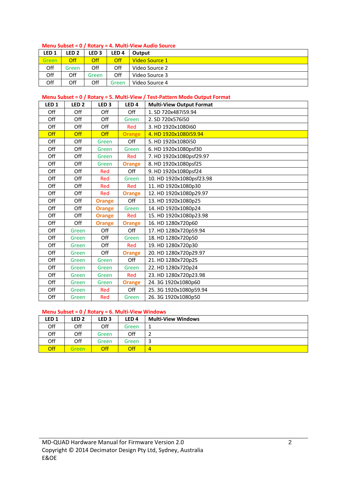#### **Menu Subset = 0 / Rotary = 4. Multi‐View Audio Source**

| LED <sub>1</sub> | LED 2      | LED <sub>3</sub> | LED 4 | Output         |
|------------------|------------|------------------|-------|----------------|
| Green            | <b>Off</b> | <b>Off</b>       | Off   | Video Source 1 |
| Off              | Green      | Off              | Off   | Video Source 2 |
| Off              | Off        | Green            | Off   | Video Source 3 |
| Off              | Off        | Off              | Green | Video Source 4 |

# **Menu Subset = 0 / Rotary = 5. Multi‐View / Test‐Pattern Mode Output Format**

| LED <sub>1</sub> | LED <sub>2</sub> | LED <sub>3</sub> | LED <sub>4</sub> | <b>Multi-View Output Format</b> |
|------------------|------------------|------------------|------------------|---------------------------------|
| Off              | Off              | Off              | Off              | 1. SD 720x487i59.94             |
| Off              | Off              | Off              | Green            | 2. SD 720x576i50                |
| Off              | Off              | Off              | Red              | 3. HD 1920x1080i60              |
| Off              | Off              | <b>Off</b>       | <b>Orange</b>    | 4. HD 1920x1080i59.94           |
| Off              | Off              | Green            | Off              | 5. HD 1920x1080i50              |
| Off              | Off              | Green            | Green            | 6. HD 1920x1080psf30            |
| Off              | Off              | Green            | Red              | 7. HD 1920x1080psf29.97         |
| Off              | Off              | Green            | <b>Orange</b>    | 8. HD 1920x1080psf25            |
| Off              | Off              | Red              | Off              | 9. HD 1920x1080psf24            |
| Off              | Off              | Red              | Green            | 10. HD 1920x1080psf23.98        |
| Off              | Off              | Red              | Red              | 11. HD 1920x1080p30             |
| Off              | Off              | Red              | <b>Orange</b>    | 12. HD 1920x1080p29.97          |
| Off              | Off              | <b>Orange</b>    | Off              | 13. HD 1920x1080p25             |
| Off              | Off              | <b>Orange</b>    | Green            | 14. HD 1920x1080p24             |
| Off              | Off              | <b>Orange</b>    | Red              | 15. HD 1920x1080p23.98          |
| Off              | Off              | <b>Orange</b>    | <b>Orange</b>    | 16. HD 1280x720p60              |
| Off              | Green            | Off              | Off              | 17. HD 1280x720p59.94           |
| Off              | Green            | Off              | Green            | 18. HD 1280x720p50              |
| Off              | Green            | Off              | Red              | 19. HD 1280x720p30              |
| Off              | Green            | Off              | <b>Orange</b>    | 20. HD 1280x720p29.97           |
| Off              | Green            | Green            | Off              | 21. HD 1280x720p25              |
| Off              | Green            | Green            | Green            | 22. HD 1280x720p24              |
| Off              | Green            | Green            | Red              | 23. HD 1280x720p23.98           |
| Off              | Green            | Green            | <b>Orange</b>    | 24.3G 1920x1080p60              |
| Off              | Green            | Red              | Off              | 25.3G 1920x1080p59.94           |
| Off              | Green            | Red              | Green            | 26.3G 1920x1080p50              |

# **Menu Subset = 0 / Rotary = 6. Multi‐View Windows**

| LED <sub>1</sub> | LED 2 | LED <sub>3</sub> | LED <sub>4</sub> | <b>Multi-View Windows</b> |
|------------------|-------|------------------|------------------|---------------------------|
| Off              | Off   | Off              | Green            |                           |
| Off              | Off   | Green            | Off              |                           |
| Off              | Off   | Green            | Green            |                           |
| <b>Off</b>       | Green | Off              | <b>Off</b>       | 4                         |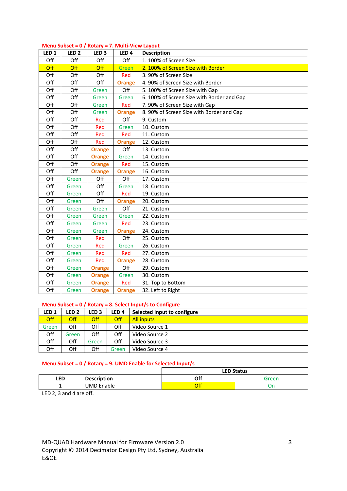|  | Menu Subset = 0 / Rotary = 7. Multi-View Layout |  |
|--|-------------------------------------------------|--|
|--|-------------------------------------------------|--|

| LED <sub>1</sub> | LED <sub>2</sub> | LED <sub>3</sub> | LED <sub>4</sub> | <b>Description</b>                         |
|------------------|------------------|------------------|------------------|--------------------------------------------|
| Off              | Off              | Off              | Off              | 1. 100% of Screen Size                     |
| <b>Off</b>       | Off              | Off              | Green            | 2. 100% of Screen Size with Border         |
| Off              | Off              | Off              | <b>Red</b>       | 3.90% of Screen Size                       |
| Off              | Off              | Off              | <b>Orange</b>    | 4.90% of Screen Size with Border           |
| Off              | Off              | Green            | Off              | 5. 100% of Screen Size with Gap            |
| Off              | Off              | Green            | Green            | 6. 100% of Screen Size with Border and Gap |
| Off              | Off              | Green            | Red              | 7.90% of Screen Size with Gap              |
| Off              | Off              | Green            | <b>Orange</b>    | 8. 90% of Screen Size with Border and Gap  |
| Off              | Off              | Red              | Off              | 9. Custom                                  |
| Off              | Off              | Red              | Green            | 10. Custom                                 |
| Off              | Off              | Red              | Red              | 11. Custom                                 |
| Off              | Off              | Red              | <b>Orange</b>    | 12. Custom                                 |
| Off              | Off              | <b>Orange</b>    | Off              | 13. Custom                                 |
| Off              | Off              | <b>Orange</b>    | Green            | 14. Custom                                 |
| Off              | Off              | <b>Orange</b>    | Red              | 15. Custom                                 |
| Off              | Off              | <b>Orange</b>    | <b>Orange</b>    | 16. Custom                                 |
| Off              | Green            | Off              | Off              | 17. Custom                                 |
| Off              | Green            | Off              | Green            | 18. Custom                                 |
| Off              | Green            | Off              | Red              | 19. Custom                                 |
| Off              | Green            | Off              | <b>Orange</b>    | 20. Custom                                 |
| Off              | Green            | Green            | Off              | 21. Custom                                 |
| Off              | Green            | Green            | Green            | 22. Custom                                 |
| Off              | Green            | Green            | Red              | 23. Custom                                 |
| Off              | Green            | Green            | <b>Orange</b>    | 24. Custom                                 |
| Off              | Green            | Red              | Off              | 25. Custom                                 |
| Off              | Green            | Red              | Green            | 26. Custom                                 |
| Off              | Green            | Red              | Red              | 27. Custom                                 |
| Off              | Green            | Red              | <b>Orange</b>    | 28. Custom                                 |
| Off              | Green            | <b>Orange</b>    | Off              | 29. Custom                                 |
| Off              | Green            | <b>Orange</b>    | Green            | 30. Custom                                 |
| Off              | Green            | <b>Orange</b>    | <b>Red</b>       | 31. Top to Bottom                          |
| Off              | Green            | <b>Orange</b>    | <b>Orange</b>    | 32. Left to Right                          |

#### **Menu Subset = 0 / Rotary = 8. Select Input/s to Configure**

| LED <sub>1</sub> | LED <sub>2</sub> | LED <sub>3</sub> | LED <sub>4</sub> | Selected Input to configure |
|------------------|------------------|------------------|------------------|-----------------------------|
| Off              | <b>Off</b>       | <b>Off</b>       | Off              | <b>All inputs</b>           |
| Green            | Off              | Off              | Off              | Video Source 1              |
| Off              | Green            | Off              | Off              | Video Source 2              |
| Off              | Off              | Green            | Off              | Video Source 3              |
| Off              | Off              | Off              | Green            | Video Source 4              |

# **Menu Subset = 0 / Rotary = 9. UMD Enable for Selected Input/s**

|            |                    |     | <b>LED Status</b> |
|------------|--------------------|-----|-------------------|
| <b>LED</b> | <b>Description</b> | Off | Green             |
|            | <b>UMD Enable</b>  | Off |                   |

LED 2, 3 and 4 are off.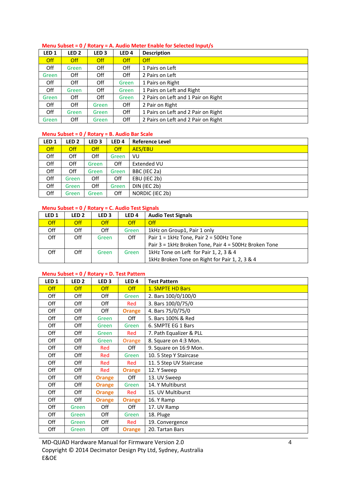# **Menu Subset = 0 / Rotary = A. Audio Meter Enable for Selected Input/s**

| LED <sub>1</sub> | LED <sub>2</sub> | LED <sub>3</sub> | LED <sub>4</sub> | <b>Description</b>                  |
|------------------|------------------|------------------|------------------|-------------------------------------|
| <b>Off</b>       | <b>Off</b>       | <b>Off</b>       | <b>Off</b>       | <b>Off</b>                          |
| Off              | Green            | Off              | Off              | 1 Pairs on Left                     |
| Green            | Off              | Off              | Off              | 2 Pairs on Left                     |
| Off              | Off              | Off              | Green            | 1 Pairs on Right                    |
| Off              | Green            | Off              | Green            | 1 Pairs on Left and Right           |
| Green            | Off              | Off              | Green            | 2 Pairs on Left and 1 Pair on Right |
| Off              | Off              | Green            | Off              | 2 Pair on Right                     |
| Off              | Green            | Green            | Off              | 1 Pairs on Left and 2 Pair on Right |
| Green            | Off              | Green            | Off              | 2 Pairs on Left and 2 Pair on Right |

# **Menu Subset = 0 / Rotary = B. Audio Bar Scale**

| LED <sub>1</sub> | LED <sub>2</sub> | LED <sub>3</sub> | LED <sub>4</sub> | <b>Reference Level</b> |
|------------------|------------------|------------------|------------------|------------------------|
| <b>Off</b>       | <b>Off</b>       | Off              | <b>Off</b>       | <b>AES/EBU</b>         |
| Off              | Off              | Off              | Green            | VU                     |
| Off              | Off              | Green            | Off              | <b>Extended VU</b>     |
| Off              | Off              | Green            | Green            | BBC (IEC 2a)           |
| Off              | Green            | Off              | Off              | EBU (IEC 2b)           |
| Off              | Green            | Off              | Green            | DIN (IEC 2b)           |
| Off              | Green            | Green            | Off              | NORDIC (IEC 2b)        |

# **Menu Subset = 0 / Rotary = C. Audio Test Signals**

| LED <sub>1</sub> | LED 2 | LED 3 | LED 4      | <b>Audio Test Signals</b>                             |
|------------------|-------|-------|------------|-------------------------------------------------------|
| <b>Off</b>       | Off   | Off   | <b>Off</b> | Off                                                   |
| Off              | Off   | Off   | Green      | 1kHz on Group1, Pair 1 only                           |
| Off              | Off   | Green | Off        | Pair $1 = 1$ kHz Tone, Pair $2 = 500$ Hz Tone         |
|                  |       |       |            | Pair 3 = 1kHz Broken Tone, Pair 4 = 500Hz Broken Tone |
| Off              | Off   | Green | Green      | 1kHz Tone on Left for Pair 1, 2, 3 & 4                |
|                  |       |       |            | 1kHz Broken Tone on Right for Pair 1, 2, 3 & 4        |

# **Menu Subset = 0 / Rotary = D. Test Pattern**

| LED <sub>1</sub> | LED <sub>2</sub> | LED <sub>3</sub> | LED <sub>4</sub> | <b>Test Pattern</b>     |
|------------------|------------------|------------------|------------------|-------------------------|
| <b>Off</b>       | <b>Off</b>       | <b>Off</b>       | <b>Off</b>       | 1. SMPTE HD Bars        |
| Off              | Off              | Off              | Green            | 2. Bars 100/0/100/0     |
| Off              | Off              | Off              | Red              | 3. Bars 100/0/75/0      |
| Off              | Off              | Off              | <b>Orange</b>    | 4. Bars 75/0/75/0       |
| Off              | Off              | Green            | Off              | 5. Bars 100% & Red      |
| Off              | Off              | Green            | Green            | 6. SMPTE EG 1 Bars      |
| Off              | Off              | Green            | Red              | 7. Path Equalizer & PLL |
| Off              | Off              | Green            | <b>Orange</b>    | 8. Square on 4:3 Mon.   |
| Off              | Off              | Red              | Off              | 9. Square on 16:9 Mon.  |
| Off              | Off              | Red              | Green            | 10. 5 Step Y Staircase  |
| Off              | Off              | Red              | Red              | 11. 5 Step UV Staircase |
| Off              | Off              | Red              | <b>Orange</b>    | 12. Y Sweep             |
| Off              | Off              | Orange           | Off              | 13. UV Sweep            |
| Off              | Off              | <b>Orange</b>    | Green            | 14. Y Multiburst        |
| Off              | Off              | <b>Orange</b>    | Red              | 15. UV Multiburst       |
| Off              | Off              | <b>Orange</b>    | <b>Orange</b>    | 16. Y Ramp              |
| Off              | Green            | Off              | Off              | 17. UV Ramp             |
| Off              | Green            | Off              | Green            | 18. Pluge               |
| Off              | Green            | Off              | Red              | 19. Convergence         |
| Off              | Green            | Off              | <b>Orange</b>    | 20. Tartan Bars         |

MD‐QUAD Hardware Manual for Firmware Version 2.0 Copyright © 2014 Decimator Design Pty Ltd, Sydney, Australia E&OE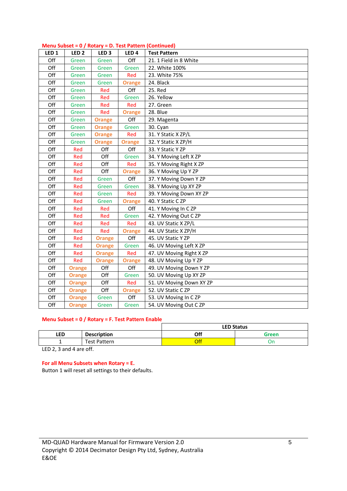|                  |                  |                  |                  | $m$ iver $\alpha$ business $\alpha$ and $\beta$ in $\alpha$ in the set of $\alpha$ in the set of $\alpha$ |
|------------------|------------------|------------------|------------------|-----------------------------------------------------------------------------------------------------------|
| LED <sub>1</sub> | LED <sub>2</sub> | LED <sub>3</sub> | LED <sub>4</sub> | <b>Test Pattern</b>                                                                                       |
| Off              | Green            | Green            | Off              | 21. 1 Field in 8 White                                                                                    |
| Off              | Green            | Green            | Green            | 22. White 100%                                                                                            |
| Off              | Green            | Green            | Red              | 23. White 75%                                                                                             |
| Off              | Green            | Green            | <b>Orange</b>    | 24. Black                                                                                                 |
| Off              | Green            | Red              | Off              | 25. Red                                                                                                   |
| Off              | Green            | Red              | Green            | 26. Yellow                                                                                                |
| Off              | Green            | Red              | Red              | 27. Green                                                                                                 |
| Off              | Green            | Red              | <b>Orange</b>    | 28. Blue                                                                                                  |
| Off              | Green            | <b>Orange</b>    | Off              | 29. Magenta                                                                                               |
| Off              | Green            | <b>Orange</b>    | Green            | 30. Cyan                                                                                                  |
| Off              | Green            | <b>Orange</b>    | Red              | 31. Y Static X ZP/L                                                                                       |
| Off              | Green            | <b>Orange</b>    | <b>Orange</b>    | 32. Y Static X ZP/H                                                                                       |
| Off              | Red              | Off              | Off              | 33. Y Static Y ZP                                                                                         |
| Off              | Red              | Off              | Green            | 34. Y Moving Left X ZP                                                                                    |
| Off              | Red              | Off              | Red              | 35. Y Moving Right X ZP                                                                                   |
| Off              | Red              | Off              | <b>Orange</b>    | 36. Y Moving Up Y ZP                                                                                      |
| Off              | Red              | Green            | Off              | 37. Y Moving Down Y ZP                                                                                    |
| Off              | Red              | Green            | Green            | 38. Y Moving Up XY ZP                                                                                     |
| Off              | Red              | Green            | Red              | 39. Y Moving Down XY ZP                                                                                   |
| Off              | Red              | Green            | <b>Orange</b>    | 40. Y Static C ZP                                                                                         |
| Off              | Red              | Red              | Off              | 41. Y Moving In CZP                                                                                       |
| Off              | Red              | Red              | Green            | 42. Y Moving Out C ZP                                                                                     |
| Off              | Red              | Red              | Red              | 43. UV Static X ZP/L                                                                                      |
| Off              | Red              | Red              | <b>Orange</b>    | 44. UV Static X ZP/H                                                                                      |
| Off              | Red              | <b>Orange</b>    | Off              | 45. UV Static Y ZP                                                                                        |
| Off              | Red              | <b>Orange</b>    | Green            | 46. UV Moving Left X ZP                                                                                   |
| Off              | Red              | <b>Orange</b>    | Red              | 47. UV Moving Right X ZP                                                                                  |
| Off              | Red              | <b>Orange</b>    | <b>Orange</b>    | 48. UV Moving Up Y ZP                                                                                     |
| Off              | <b>Orange</b>    | Off              | Off              | 49. UV Moving Down Y ZP                                                                                   |
| Off              | <b>Orange</b>    | Off              | Green            | 50. UV Moving Up XY ZP                                                                                    |
| Off              | <b>Orange</b>    | Off              | Red              | 51. UV Moving Down XY ZP                                                                                  |
| Off              | <b>Orange</b>    | Off              | <b>Orange</b>    | 52. UV Static CZP                                                                                         |
| Off              | <b>Orange</b>    | Green            | Off              | 53. UV Moving In CZP                                                                                      |
| Off              | <b>Orange</b>    | Green            | Green            | 54. UV Moving Out C ZP                                                                                    |

# **Menu Subset = 0 / Rotary = D. Test Pattern (Continued)**

# **Menu Subset = 0 / Rotary = F. Test Pattern Enable**

|            |                    |     | <b>LED Status</b> |
|------------|--------------------|-----|-------------------|
| <b>LED</b> | <b>Description</b> | Off | Green             |
|            | Test Pattern       | Off |                   |

LED 2, 3 and 4 are off.

#### **For all Menu Subsets when Rotary = E.**

Button 1 will reset all settings to their defaults.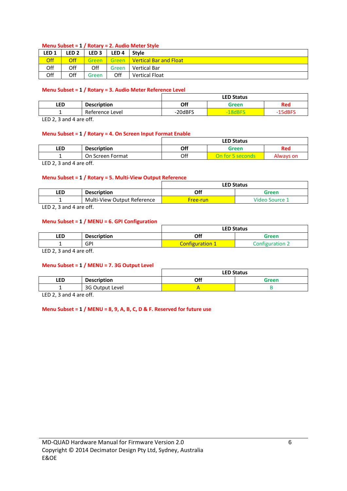# **Menu Subset = 1 / Rotary = 2. Audio Meter Style**

| LED <sub>1</sub> | LED <sub>2</sub> | LED <sub>3</sub> | LED <sub>4</sub> | Stvle                         |
|------------------|------------------|------------------|------------------|-------------------------------|
| <b>Off</b>       | Off              | Green            | <b>Green</b>     | <b>Vertical Bar and Float</b> |
| Off              | Off              | Off              | Green            | <b>Vertical Bar</b>           |
| Off              | Off              | Green            | Off              | <b>Vertical Float</b>         |

# **Menu Subset = 1 / Rotary = 3. Audio Meter Reference Level**

|            |                    |         | <b>LED Status</b> |                        |
|------------|--------------------|---------|-------------------|------------------------|
| <b>LED</b> | <b>Description</b> | Off     | Green             | Red                    |
|            | Reference Level    | -20dBFS | $-18$ dBFS        | $-15$ dBF <sup>c</sup> |
|            |                    |         |                   |                        |

LED 2, 3 and 4 are off.

# **Menu Subset = 1 / Rotary = 4. On Screen Input Format Enable**

|                      |                          |     | <b>LED Status</b> |            |
|----------------------|--------------------------|-----|-------------------|------------|
| LED.                 | <b>Description</b>       | Off | Green             | <b>Red</b> |
|                      | On Screen Format         | Off | On for 5 seconds. | Always on  |
| $\sim$ $   -$<br>. . | $\overline{\phantom{a}}$ |     |                   |            |

LED 2, 3 and 4 are off.

# **Menu Subset = 1 / Rotary = 5. Multi‐View Output Reference**

|     |                             |          | <b>LED Status</b> |
|-----|-----------------------------|----------|-------------------|
| LED | <b>Description</b>          | Off      | Green             |
|     | Multi-View Output Reference | Free-run | Video Source 1    |

LED 2, 3 and 4 are off.

# **Menu Subset = 1 / MENU = 6. GPI Configuration**

|     |                    | <b>LED Status</b>      |                 |
|-----|--------------------|------------------------|-----------------|
| LED | <b>Description</b> | Off                    | Green           |
|     | <b>GPI</b>         | <b>Configuration 1</b> | Configuration 2 |
|     |                    |                        |                 |

LED 2, 3 and 4 are off.

#### **Menu Subset = 1 / MENU = 7. 3G Output Level**

|            |                    |     | <b>LED Status</b> |
|------------|--------------------|-----|-------------------|
| <b>LED</b> | <b>Description</b> | Off | Green             |
|            | 3G Output Level    |     |                   |

LED 2, 3 and 4 are off.

#### **Menu Subset = 1 / MENU = 8, 9, A, B, C, D & F. Reserved for future use**